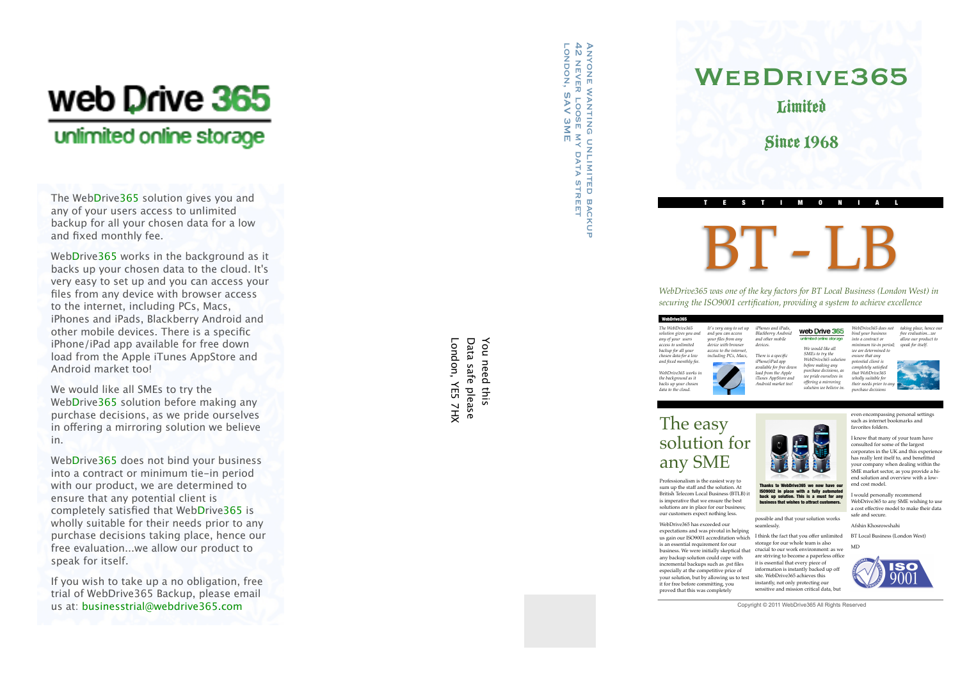# web Drive 365

## unlimited online storage

The Web Drive365 solution gives you and any of your users access to unlimited backup for all your chosen data for a low and fixed monthly fee.

Web Drive365 works in the background as it backs up your chosen data to the cloud. It's very easy to set up and you can access your files from any device with browser access to the internet, including PCs, Macs, iPhones and iPads, Blackberry Android and other mobile devices. There is a specific iPhone/iPad app available for free down load from the Apple iTunes AppStore and Android market too!

We would like all SMEs to try the Web Drive365 solution before making any purchase decisions, as we pride ourselves in o fering a mirroring solution we believe in.

Web Drive365 does not bind your business into a contract or minimum tie-in period with our product, we are determined to ensure that any potential client is completely satisfied that Web Drive365 is wholly suitable for their needs prior to any purchase decisions taking place, hence our free evaluation...we allow our product to speak for itself.

If you wish to take up a no obligation, free trial of WebDrive365 Backup, please email us at: [businesstrial@webdrive365.com](mailto:businesstrial@webdrive365.co.uk)

London, YE5 7HX Data safe please You need this London, YE5 7HX Data safe please You need this

ANYONE WANTING U<br>42 NEVER LOOSE MY<br>LONDON, SAV 3ME Anyone wanting unlimited backup london, SAV 3ME 42 never loose my data street R NUMITED DATA **STREET BACKUP** 

## WEBDRIVE365 **Limited**

Since 1968

TESTIMONIAL

BT - LB

*WebDrive365 was one of the key factors for BT Local Business (London West) in securing the ISO9001 certification, providing a system to achieve excellence*

> *iPhones and iPads, Blackberry Android and other mobile devices. There is a specific iPhone/iPad app available for free down load from the Apple iTunes AppStore and Android market too!*

| It's very easy to set up<br>and you can access<br>your files from any |
|-----------------------------------------------------------------------|
| device with browser                                                   |
| access to the internet.                                               |
| including PCs, Macs,                                                  |
|                                                                       |
|                                                                       |
|                                                                       |
|                                                                       |
|                                                                       |
|                                                                       |

*WebDrive365 does not*  web Drive 365 *bind your business*  unfmited online storage *into a contract or minimum tie-in period; We would like all we are determined to SMEs to try the ensure that any WebDrive365 solution potential client is before making any concumu chem is*<br>completely satisfied *purchase decisions, as that WebDrive365 we pride ourselves in wholly suitable for offering a mirroring their needs prior t solution we believe in. purchase decisions* 

*taking place, hence our free evaluation we allow our product to speak for itself.*

## The easy solution for any SME

Professionalism is the easiest way to sum up the staff and the solution. At British Telecom Local Business (BTLB) it is imperative that we ensure the best solutions are in place for our business; our customers expect nothing less.

WebDrive365 has exceeded our expectations and was pivotal in helping us gain our ISO9001 accreditation which is an essential requirement for our business. We were initially skeptical that crucial to our work environment: as we any backup solution could cope with incremental backups such as .pst files especially at the competitive price of

your solution, but by allowing us to test it for free before committing, you proved that this was completely are striving to become a paperless office it is essential that every piece of information is instantly backed up off site. WebDrive365 achieves this instantly, not only protecting our sensitive and mission critical data, but



consulted for some of the largest corporates in the UK and this experience has really lent itself to, and benefitted your company when dealing within the SME market sector, as you provide a hiend solution and overview with a lowend cost model.

even encompassing personal settings such as internet bookmarks and

I would personally recommend WebDrive365 to any SME wishing to us a cost effective model to make their data safe and secure.

Afshin Khosrowshahi

I think the fact that you offer unlimited storage for our whole team is also BT Local Business (London West) MD

Copyright © 2011 WebDrive365 All Rights Reserved



Thanks to WebDrive365 we now have our IS09002 in place with a fully au back up solution. This is a must for any **business that wishes to attract customers** 

possible and that your solution works seamlessly.